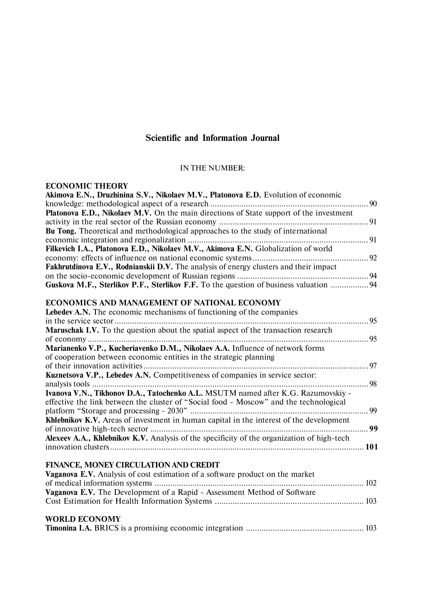# **Scientific and Information Journal**

### IN THE NUMBER:

#### **ECONOMIC THEORY**

| Akimova E.N., Druzhinina S.V., Nikolaev M.V., Platonova E.D. Evolution of economic         |  |
|--------------------------------------------------------------------------------------------|--|
|                                                                                            |  |
| Platonova E.D., Nikolaev M.V. On the main directions of State support of the investment    |  |
|                                                                                            |  |
| Bu Tong. Theoretical and methodological approaches to the study of international           |  |
|                                                                                            |  |
| Filkevich I.A., Platonova E.D., Nikolaev M.V., Akimova E.N. Globalization of world         |  |
|                                                                                            |  |
| Fakhrutdinova E.V., Rodnianskii D.V. The analysis of energy clusters and their impact      |  |
|                                                                                            |  |
| Guskova M.F., Sterlikov P.F., Sterlikov F.F. To the question of business valuation  94     |  |
| ECONOMICS AND MANAGEMENT OF NATIONAL ECONOMY                                               |  |
| <b>Lebedev A.N.</b> The economic mechanisms of functioning of the companies                |  |
|                                                                                            |  |
| Maruschak I.V. To the question about the spatial aspect of the transaction research        |  |
|                                                                                            |  |
| Marianenko V.P., Kucheriavenko D.M., Nikolaev A.A. Influence of network forms              |  |
| of cooperation between economic entities in the strategic planning                         |  |
|                                                                                            |  |
| Kuznetsova V.P., Lebedev A.N. Competitiveness of companies in service sector:              |  |
|                                                                                            |  |
| Ivanova V.N., Tikhonov D.A., Tatochenko A.L. MSUTM named after K.G. Razumovskiy -          |  |
| effective the link between the cluster of "Social food - Moscow" and the technological     |  |
|                                                                                            |  |
| Khlebnikov K.V. Areas of investment in human capital in the interest of the development    |  |
|                                                                                            |  |
| Alexeev A.A., Khlebnikov K.V. Analysis of the specificity of the organization of high-tech |  |
|                                                                                            |  |
|                                                                                            |  |
| FINANCE, MONEY CIRCULATION AND CREDIT                                                      |  |
| Vaganova E.V. Analysis of cost estimation of a software product on the market              |  |
|                                                                                            |  |
| Vaganova E.V. The Development of a Rapid - Assessment Method of Software                   |  |
|                                                                                            |  |
|                                                                                            |  |
| <b>WORLD ECONOMY</b>                                                                       |  |

|--|--|--|--|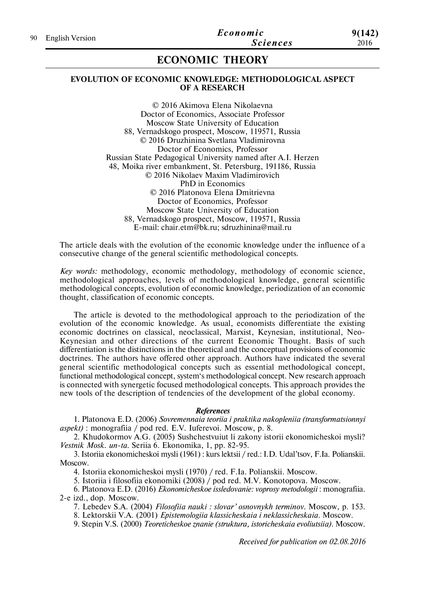# **ECONOMIC THEORY**

### **EVOLUTION OF ECONOMIC KNOWLEDGE: METHODOLOGICAL ASPECT OF A RESEARCH**

© 2016 Akimova Elena Nikolaevna Doctor of Economics, Associate Professor Moscow State University of Education 88, Vernadskogo prospect, Moscow, 119571, Russia © 2016 Druzhinina Svetlana Vladimirovna Doctor of Economics, Professor Russian State Pedagogical University named after A.I. Herzen 48, Moika river embankment, St. Petersburg, 191186, Russia © 2016 Nikolaev Maxim Vladimirovich PhD in Economics © 2016 Platonova Elena Dmitrievna Doctor of Economics, Professor Moscow State University of Education 88, Vernadskogo prospect, Moscow, 119571, Russia E-mail: chair.etm@bk.ru; sdruzhinina@mail.ru

The article deals with the evolution of the economic knowledge under the influence of a consecutive change of the general scientific methodological concepts.

*Key words:* methodology, economic methodology, methodology of economic science, methodological approaches, levels of methodological knowledge, general scientific methodological concepts, evolution of economic knowledge, periodization of an economic thought, classification of economic concepts.

The article is devoted to the methodological approach to the periodization of the evolution of the economic knowledge. As usual, economists differentiate the existing economic doctrines on classical, neoclassical, Marxist, Keynesian, institutional, Neo-Keynesian and other directions of the current Economic Thought. Basis of such differentiation is the distinctions in the theoretical and the conceptual provisions of economic doctrines. The authors have offered other approach. Authors have indicated the several general scientific methodological concepts such as essential methodological concept, functional methodological concept, system's methodological concept. New research approach is connected with synergetic focused methodological concepts. This approach provides the new tools of the description of tendencies of the development of the global economy.

#### *References*

1. Platonova E.D. (2006) *Sovremennaia teoriia i praktika nakopleniia (transformatsionnyi aspekt)* : monografiia / pod red. E.V. Iuferevoi. Moscow, p. 8.

2. Khudokormov A.G. (2005) Sushchestvuiut li zakony istorii ekonomicheskoi mysli? *Vestnik Mosk. un-ta.* Seriia 6. Ekonomika, 1, pp. 82-95.

3. Istoriia ekonomicheskoi mysli (1961) : kurs lektsii / red.: I.D. Udal'tsov, F.Ia. Polianskii. Moscow.

4. Istoriia ekonomicheskoi mysli (1970) / red. F.Ia. Polianskii. Moscow.

5. Istoriia i filosofiia ekonomiki (2008) / pod red. M.V. Konotopova. Moscow.

6. Platonova E.D. (2016) *Ekonomicheskoe issledovanie: voprosy metodologii* : monografiia. 2-e izd., dop. Moscow.

7. Lebedev S.A. (2004) *Filosofiia nauki : slovar' osnovnykh terminov*. Moscow, p. 153.

8. Lektorskii V.A. (2001) *Epistemologiia klassicheskaia i neklassicheskaia*. Moscow.

9. Stepin V.S. (2000) *Teoreticheskoe znanie (struktura, istoricheskaia evoliutsiia)*. Moscow.

*Received for publication on 02.08.2016*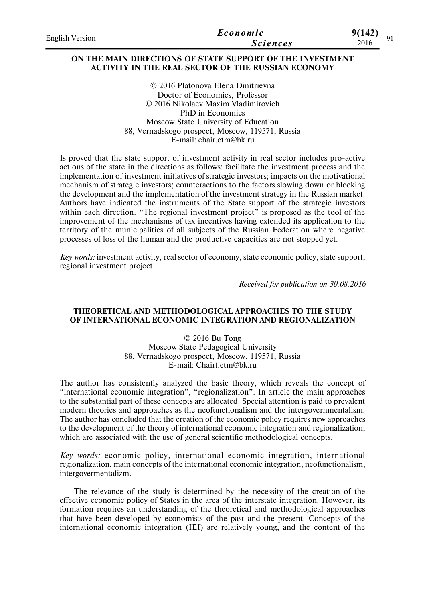| <b>English Version</b> | Economic        | 9(142) |
|------------------------|-----------------|--------|
|                        | <i>Sciences</i> | 2016   |

### **ON THE MAIN DIRECTIONS OF STATE SUPPORT OF THE INVESTMENT ACTIVITY IN THE REAL SECTOR OF THE RUSSIAN ECONOMY**

© 2016 Platonova Elena Dmitrievna Doctor of Economics, Professor © 2016 Nikolaev Maxim Vladimirovich PhD in Economics Moscow State University of Education 88, Vernadskogo prospect, Moscow, 119571, Russia E-mail: chair.etm@bk.ru

Is proved that the state support of investment activity in real sector includes pro-active actions of the state in the directions as follows: facilitate the investment process and the implementation of investment initiatives of strategic investors; impacts on the motivational mechanism of strategic investors; counteractions to the factors slowing down or blocking the development and the implementation of the investment strategy in the Russian market. Authors have indicated the instruments of the State support of the strategic investors within each direction. "The regional investment project" is proposed as the tool of the improvement of the mechanisms of tax incentives having extended its application to the territory of the municipalities of all subjects of the Russian Federation where negative processes of loss of the human and the productive capacities are not stopped yet.

*Key words:* investment activity, real sector of economy, state economic policy, state support, regional investment project.

*Received for publication on 30.08.2016*

### **THEORETICAL AND METHODOLOGICAL APPROACHES TO THE STUDY OF INTERNATIONAL ECONOMIC INTEGRATION AND REGIONALIZATION**

© 2016 Bu Tong Moscow State Pedagogical University 88, Vernadskogo prospect, Moscow, 119571, Russia E-mail: Chairt.etm@bk.ru

The author has consistently analyzed the basic theory, which reveals the concept of "international economic integration", "regionalization". In article the main approaches to the substantial part of these concepts are allocated. Special attention is paid to prevalent modern theories and approaches as the neofunctionalism and the intergovernmentalism. The author has concluded that the creation of the economic policy requires new approaches to the development of the theory of international economic integration and regionalization, which are associated with the use of general scientific methodological concepts.

*Key words:* economic policy, international economic integration, international regionalization, main concepts of the international economic integration, neofunctionalism, intergovermentalizm.

The relevance of the study is determined by the necessity of the creation of the effective economic policy of States in the area of the interstate integration. However, its formation requires an understanding of the theoretical and methodological approaches that have been developed by economists of the past and the present. Concepts of the international economic integration (IEI) are relatively young, and the content of the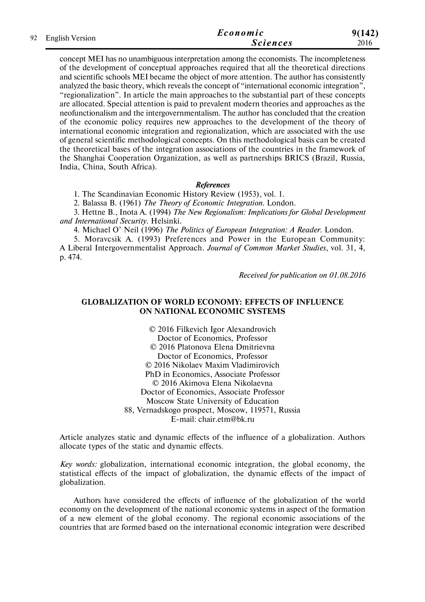| 92 English Version | Economic        | 9(142) |
|--------------------|-----------------|--------|
|                    | <i>Sciences</i> | 2016   |

concept MEI has no unambiguous interpretation among the economists. The incompleteness of the development of conceptual approaches required that all the theoretical directions and scientific schools MEI became the object of more attention. The author has consistently analyzed the basic theory, which reveals the concept of "international economic integration", "regionalization". In article the main approaches to the substantial part of these concepts are allocated. Special attention is paid to prevalent modern theories and approaches as the neofunctionalism and the intergovernmentalism. The author has concluded that the creation of the economic policy requires new approaches to the development of the theory of international economic integration and regionalization, which are associated with the use of general scientific methodological concepts. On this methodological basis can be created the theoretical bases of the integration associations of the countries in the framework of the Shanghai Cooperation Organization, as well as partnerships BRICS (Brazil, Russia, India, China, South Africa).

### *References*

1. The Scandinavian Economic History Review (1953), vol. 1.

2. Balassa B. (1961) *The Theory of Economic Integration*. London.

3. Hettne B., Inota A. (1994) *The New Regionalism: Implications for Global Development and International Security*. Helsinki.

4. Michael O' Neil (1996) *The Politics of European Integration: A Reader*. London.

5. Moravcsik A. (1993) Preferences and Power in the European Community: A Liberal Intergovernmentalist Approach. *Journal of Common Market Studies*, vol. 31, 4, p. 474.

*Received for publication on 01.08.2016*

### **GLOBALIZATION OF WORLD ECONOMY: EFFECTS OF INFLUENCE ON NATIONAL ECONOMIC SYSTEMS**

© 2016 Filkevich Igor Alexandrovich Doctor of Economics, Professor © 2016 Platonova Elena Dmitrievna Doctor of Economics, Professor © 2016 Nikolaev Maxim Vladimirovich PhD in Economics, Associate Professor © 2016 Akimova Elena Nikolaevna Doctor of Economics, Associate Professor Moscow State University of Education 88, Vernadskogo prospect, Moscow, 119571, Russia E-mail: chair.etm@bk.ru

Article analyzes static and dynamic effects of the influence of a globalization. Authors allocate types of the static and dynamic effects.

*Key words:* globalization, international economic integration, the global economy, the statistical effects of the impact of globalization, the dynamic effects of the impact of globalization.

Authors have considered the effects of influence of the globalization of the world economy on the development of the national economic systems in aspect of the formation of a new element of the global economy. The regional economic associations of the countries that are formed based on the international economic integration were described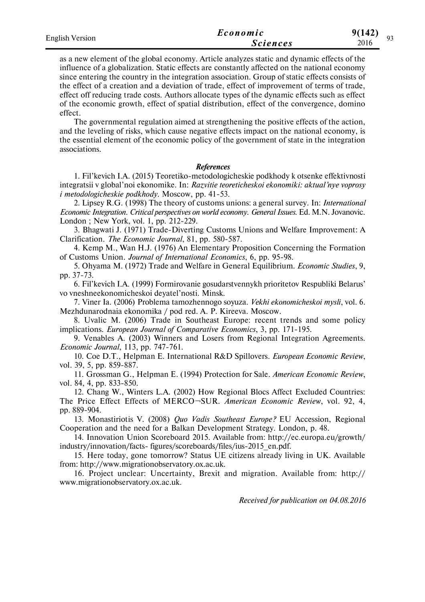| <b>English Version</b> | Economic        | 9(142) |
|------------------------|-----------------|--------|
|                        | <i>Sciences</i> | 2016   |

as a new element of the global economy. Article analyzes static and dynamic effects of the influence of a globalization. Static effects are constantly affected on the national economy since entering the country in the integration association. Group of static effects consists of the effect of a creation and a deviation of trade, effect of improvement of terms of trade, effect off reducing trade costs. Authors allocate types of the dynamic effects such as effect of the economic growth, effect of spatial distribution, effect of the convergence, domino effect.

The governmental regulation aimed at strengthening the positive effects of the action, and the leveling of risks, which cause negative effects impact on the national economy, is the essential element of the economic policy of the government of state in the integration associations.

#### *References*

1. Fil'kevich I.A. (2015) Teoretiko-metodologicheskie podkhody k otsenke effektivnosti integratsii v global'noi ekonomike. In: *Razvitie teoreticheskoi ekonomiki: aktual'nye voprosy i metodologicheskie podkhody*. Moscow, pp. 41-53.

2. Lipsey R.G. (1998) The theory of customs unions: a general survey. In: *International Economic Integration. Critical perspectives on world economy. General Issues*. Ed. M.N. Jovanovic. London ; New York, vol. 1, pp. 212-229.

3. Bhagwati J. (1971) Trade-Diverting Customs Unions and Welfare Improvement: A Clarification. *The Economic Journal*, 81, pp. 580-587.

4. Kemp M., Wan H.J. (1976) An Elementary Proposition Concerning the Formation of Customs Union. *Journal of International Economics*, 6, pp. 95-98.

5. Ohyama M. (1972) Trade and Welfare in General Equilibrium. *Economic Studies*, 9, pp. 37-73.

6. Fil'kevich I.A. (1999) Formirovanie gosudarstvennykh prioritetov Respubliki Belarus' vo vneshneekonomicheskoi deyatel'nosti. Minsk.

7. Viner Ia. (2006) Problema tamozhennogo soyuza. *Vekhi ekonomicheskoi mysli*, vol. 6. Mezhdunarodnaia ekonomika / pod red. A. P. Kireeva. Moscow.

8. Uvalic M. (2006) Trade in Southeast Europe: recent trends and some policy implications. *European Journal of Comparative Economics*, 3, pp. 171-195.

9. Venables A. (2003) Winners and Losers from Regional Integration Agreements. *Economic Journal*, 113, pp. 747-761.

10. Coe D.T., Helpman E. International R&D Spillovers. *European Economic Review*, vol. 39, 5, pp. 859-887.

11. Grossman G., Helpman E. (1994) Protection for Sale. *American Economic Review*, vol. 84, 4, pp. 833-850.

12. Chang W., Winters L.A. (2002) How Regional Blocs Affect Excluded Countries: The Price Effect Effects of MERCO¬SUR. *American Economic Review*, vol. 92, 4, pp. 889-904.

13. Monastiriotis V. (2008) *Quo Vadis Southeast Europe?* EU Accession, Regional Cooperation and the need for a Balkan Development Strategy. London, p. 48.

14. Innovation Union Scoreboard 2015. Available from: http://ec.europa.eu/growth/ industry/innovation/facts- figures/scoreboards/files/ius-2015\_en.pdf.

15. Here today, gone tomorrow? Status UE citizens already living in UK. Available from: http://www.migrationobservatory.ox.ac.uk.

16. Project unclear: Uncertainty, Brexit and migration. Available from: http:// www.migrationobservatory.ox.ac.uk.

*Received for publication on 04.08.2016*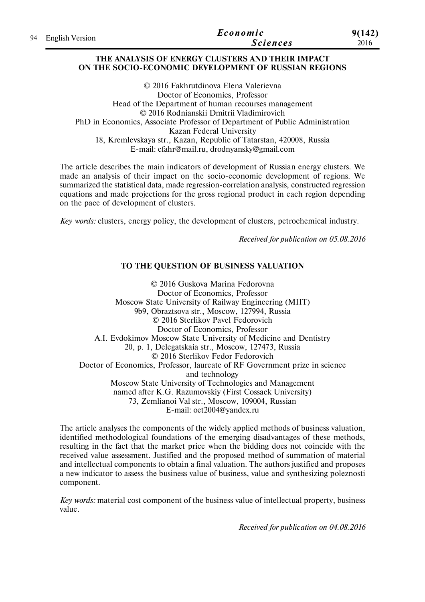| 94 English Version | Economic        | 9(142) |
|--------------------|-----------------|--------|
|                    | <b>Sciences</b> | 2016   |

### **THE ANALYSIS OF ENERGY CLUSTERS AND THEIR IMPACT ON THE SOCIO-ECONOMIC DEVELOPMENT OF RUSSIAN REGIONS**

© 2016 Fakhrutdinova Elena Valerievna Doctor of Economics, Professor Head of the Department of human recourses management © 2016 Rodnianskii Dmitrii Vladimirovich PhD in Economics, Associate Professor of Department of Public Administration Kazan Federal University 18, Kremlevskaya str., Kazan, Republic of Tatarstan, 420008, Russia E-mail: efahr@mail.ru, drodnyansky@gmail.com

The article describes the main indicators of development of Russian energy clusters. We made an analysis of their impact on the socio-economic development of regions. We summarized the statistical data, made regression-correlation analysis, constructed regression equations and made projections for the gross regional product in each region depending on the pace of development of clusters.

*Key words:* clusters, energy policy, the development of clusters, petrochemical industry.

*Received for publication on 05.08.2016*

### **TO THE QUESTION OF BUSINESS VALUATION**

© 2016 Guskova Marina Fedorovna Doctor of Economics, Professor Moscow State University of Railway Engineering (MIIT) 9b9, Obraztsova str., Moscow, 127994, Russia © 2016 Sterlikov Pavel Fedorovich Doctor of Economics, Professor A.I. Evdokimov Moscow State University of Medicine and Dentistry 20, p. 1, Delegatskaia str., Moscow, 127473, Russia © 2016 Sterlikov Fedor Fedorovich Doctor of Economics, Professor, laureate of RF Government prize in science and technology Moscow State University of Technologies and Management named after K.G. Razumovskiy (First Cossack University) 73, Zemlianoi Val str., Moscow, 109004, Russian E-mail: oet2004@yandex.ru

The article analyses the components of the widely applied methods of business valuation, identified methodological foundations of the emerging disadvantages of these methods, resulting in the fact that the market price when the bidding does not coincide with the received value assessment. Justified and the proposed method of summation of material and intellectual components to obtain a final valuation. The authors justified and proposes a new indicator to assess the business value of business, value and synthesizing poleznosti component.

*Key words:* material cost component of the business value of intellectual property, business value.

*Received for publication on 04.08.2016*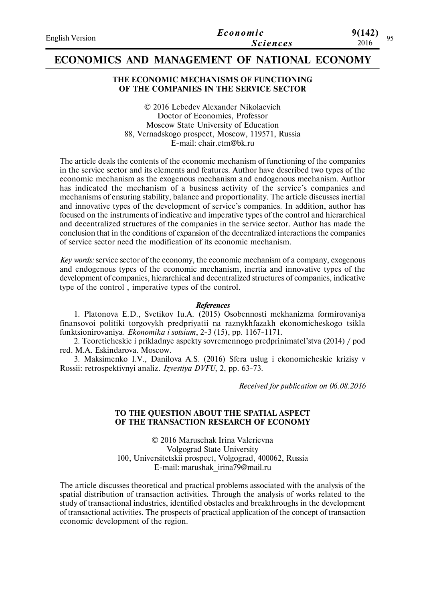| <b>English Version</b> | Economic        | 9(142)<br>Ω5 |  |
|------------------------|-----------------|--------------|--|
|                        | <i>Sciences</i> | 2016         |  |

## **ECONOMICS AND MANAGEMENT OF NATIONAL ECONOMY**

### **THE ECONOMIC MECHANISMS OF FUNCTIONING OF THE COMPANIES IN THE SERVICE SECTOR**

© 2016 Lebedev Alexander Nikolaevich Doctor of Economics, Professor Moscow State University of Education 88, Vernadskogo prospect, Moscow, 119571, Russia E-mail: chair.etm@bk.ru

The article deals the contents of the economic mechanism of functioning of the companies in the service sector and its elements and features. Author have described two types of the economic mechanism as the exogenous mechanism and endogenous mechanism. Author has indicated the mechanism of a business activity of the service's companies and mechanisms of ensuring stability, balance and proportionality. The article discusses inertial and innovative types of the development of service's companies. In addition, author has focused on the instruments of indicative and imperative types of the control and hierarchical and decentralized structures of the companies in the service sector. Author has made the conclusion that in the conditions of expansion of the decentralized interactions the companies of service sector need the modification of its economic mechanism.

*Key words:* service sector of the economy, the economic mechanism of a company, exogenous and endogenous types of the economic mechanism, inertia and innovative types of the development of companies, hierarchical and decentralized structures of companies, indicative type of the control , imperative types of the control.

#### *References*

1. Platonova E.D., Svetikov Iu.A. (2015) Osobennosti mekhanizma formirovaniya finansovoi politiki torgovykh predpriyatii na raznykhfazakh ekonomicheskogo tsikla funktsionirovaniya. *Ekonomika i sotsium*, 2-3 (15), pp. 1167-1171.

2. Teoreticheskie i prikladnye aspekty sovremennogo predprinimatel'stva (2014) / pod red. M.A. Eskindarova. Moscow.

3. Maksimenko I.V., Danilova A.S. (2016) Sfera uslug i ekonomicheskie krizisy v Rossii: retrospektivnyi analiz. *Izvestiya DVFU*, 2, pp. 63-73.

*Received for publication on 06.08.2016*

### **TO THE QUESTION ABOUT THE SPATIAL ASPECT OF THE TRANSACTION RESEARCH OF ECONOMY**

© 2016 Maruschak Irina Valerievna Volgograd State University 100, Universitetskii prospect, Volgograd, 400062, Russia E-mail: marushak\_irina79@mail.ru

The article discusses theoretical and practical problems associated with the analysis of the spatial distribution of transaction activities. Through the analysis of works related to the study of transactional industries, identified obstacles and breakthroughs in the development of transactional activities. The prospects of practical application of the concept of transaction economic development of the region.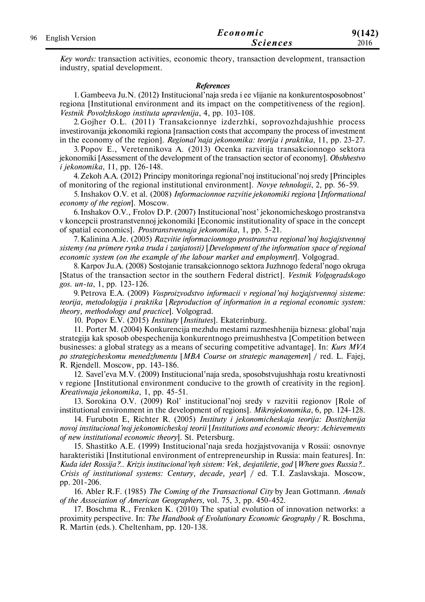|    |                        | Economic        | 9(142) |
|----|------------------------|-----------------|--------|
| 96 | <b>English Version</b> | <i>Sciences</i> | 2016   |

*Key words:* transaction activities, economic theory, transaction development, transaction industry, spatial development.

#### *References*

1.Gambeeva Ju.N. (2012) Institucional'naja sreda i ee vlijanie na konkurentosposobnost' regiona [Institutional environment and its impact on the competitiveness of the region]. *Vestnik Povolzhskogo instituta upravlenija*, 4, рр. 103-108.

2.Gojher O.L. (2011) Transakcionnye izderzhki, soprovozhdajushhie process investirovanija jekonomiki regiona [ransaction costs that accompany the process of investment in the economy of the region]. *Regional'naja jekonomika: teorija i praktika*, 11, рр. 23-27.

3.Popov E., Veretennikova A. (2013) Ocenka razvitija transakcionnogo sektora jekonomiki [Assessment of the development of the transaction sector of economy]. *Obshhestvo i jekonomika*, 11, рр. 126-148.

4.Zekoh A.A. (2012) Principy monitoringa regional'noj institucional'noj sredy [Principles of monitoring of the regional institutional environment]. *Novye tehnologii*, 2, рр. 56-59.

5. Inshakov O.V. et al. (2008) *Informacionnoe razvitie jekonomiki regiona* [*Informational economy of the region*]. Moscow.

6. Inshakov O.V., Frolov D.P. (2007) Institucional'nost' jekonomicheskogo prostranstva v koncepcii prostranstvennoj jekonomiki [Economic institutionality of space in the concept of spatial economics]. *Prostranstvennaja jekonomika*, 1, рр. 5-21.

7.Kalinina A.Je. (2005) *Razvitie informacionnogo prostranstva regional'noj hozjajstvennoj sistemy (na primere rynka truda i zanjatosti)* [*Development of the information space of regional economic system (on the example of the labour market and employment*]. Volgograd.

8.Karpov Ju.A. (2008) Sostojanie transakcionnogo sektora Juzhnogo federal'nogo okruga [Status of the transaction sector in the southern Federal district]. *Vestnik Volgogradskogo gos. un-ta*, 1, рр. 123-126.

9.Petrova E.A. (2009) *Vosproizvodstvo informacii v regional'noj hozjajstvennoj sisteme: teorija, metodologija i praktika* [*Reproduction of information in a regional economic system: theory, methodology and practice*]. Volgograd.

10. Popov E.V. (2015) *Instituty* [*Institutes*]. Ekaterinburg.

11. Porter M. (2004) Konkurencija mezhdu mestami razmeshhenija biznesa: global'naja strategija kak sposob obespechenija konkurentnogo preimushhestva [Competition between businesses: a global strategy as a means of securing competitive advantage]. In: *Kurs MVA po strategicheskomu menedzhmentu* [*MBA Course on strategic managemen*] / red. L. Fajej, R. Riendell. Moscow, pp. 143-186.

12. Savel'eva M.V. (2009) Institucional'naja sreda, sposobstvujushhaja rostu kreativnosti v regione [Institutional environment conducive to the growth of creativity in the region]. *Kreativnaja jekonomika*, 1, рр. 45-51.

13. Sorokina O.V. (2009) Rol' institucional'noj sredy v razvitii regionov [Role of institutional environment in the development of regions]. *Mikrojekonomika*, 6, рр. 124-128.

14. Furubotn E, Richter R. (2005) *Instituty i jekonomicheskaja teorija: Dostizhenija novoj institucional'noj jekonomicheskoj teorii* [*Institutions and economic theory: Achievements of new institutional economic theory*]. St. Petersburg.

15. Shastitko A.E. (1999) Institucional'naja sreda hozjajstvovanija v Rossii: osnovnye harakteristiki [Institutional environment of entrepreneurship in Russia: main features]. In: *Kuda idet Rossija?.. Krizis institucional'nyh sistem: Vek, desjatiletie, god* [*Where goes Russia?.. Crisis of institutional systems: Century, decade, year*] / ed. T.I. Zaslavskaja. Moscow, рр. 201-206.

16. Abler R.F. (1985) *The Coming of the Transactional City* by Jean Gottmann. *Annals of the Association of American Geographers*, vol. 75, 3, рр. 450-452.

17. Boschma R., Frenken K. (2010) The spatial evolution of innovation networks: a proximity perspective. In: *The Handbook of Evolutionary Economic Geography* / R. Boschma, R. Martin (eds.). Cheltenham, рр. 120-138.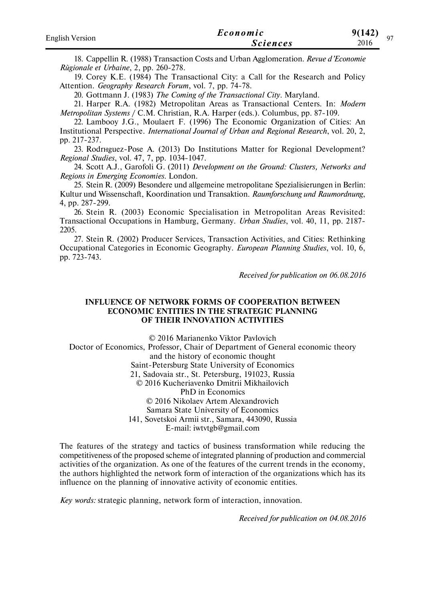| <b>English Version</b> | Economic        | 9(142)<br>07 |  |
|------------------------|-----------------|--------------|--|
|                        | <i>Sciences</i> | 2016         |  |

18. Cappellin R. (1988) Transaction Costs and Urban Agglomeration. *Revue d'Economie Rйgionale et Urbaine*, 2, рр. 260-278.

19. Corey K.E. (1984) The Transactional City: a Call for the Research and Policy Attention. *Geography Research Forum*, vol. 7, рр. 74-78.

20. Gottmann J. (1983) *The Coming of the Transactional City.* Maryland.

21. Harper R.A. (1982) Metropolitan Areas as Transactional Centers. In: *Modern Metropolitan Systems* / C.M. Christian, R.A. Harper (eds.). Columbus, pp. 87-109.

22. Lambooy J.G., Moulaert F. (1996) The Economic Organization of Cities: An Institutional Perspective. *International Journal of Urban and Regional Research*, vol. 20, 2, pp. 217-237.

23. Rodrнguez-Pose A. (2013) Do Institutions Matter for Regional Development? *Regional Studies*, vol. 47, 7, pp. 1034-1047.

24. Scott A.J., Garofoli G. (2011) *Development on the Ground: Clusters, Networks and Regions in Emerging Economies*. London.

25. Stein R. (2009) Besondere und allgemeine metropolitane Spezialisierungen in Berlin: Kultur und Wissenschaft, Koordination und Transaktion. *Raumforschung und Raumordnung*, 4, pp. 287-299.

26. Stein R. (2003) Economic Specialisation in Metropolitan Areas Revisited: Transactional Occupations in Hamburg, Germany. *Urban Studies*, vol. 40, 11, pp. 2187- 2205.

27. Stein R. (2002) Producer Services, Transaction Activities, and Cities: Rethinking Occupational Categories in Economic Geography. *European Planning Studies*, vol. 10, 6, pp. 723-743.

*Received for publication on 06.08.2016*

### **INFLUENCE OF NETWORK FORMS OF COOPERATION BETWEEN ECONOMIC ENTITIES IN THE STRATEGIC PLANNING OF THEIR INNOVATION ACTIVITIES**

© 2016 Marianenko Viktor Pavlovich Doctor of Economics, Professor, Chair of Department of General economic theory and the history of economic thought Saint-Petersburg State University of Economics 21, Sadovaia str., St. Petersburg, 191023, Russia © 2016 Kucheriavenko Dmitrii Mikhailovich PhD in Economics © 2016 Nikolaev Artem Alexandrovich Samara State University of Economics 141, Sovetskoi Armii str., Samara, 443090, Russia E-mail: iwtvtgb@gmail.com

The features of the strategy and tactics of business transformation while reducing the competitiveness of the proposed scheme of integrated planning of production and commercial activities of the organization. As one of the features of the current trends in the economy, the authors highlighted the network form of interaction of the organizations which has its influence on the planning of innovative activity of economic entities.

*Key words:* strategic planning, network form of interaction, innovation.

*Received for publication on 04.08.2016*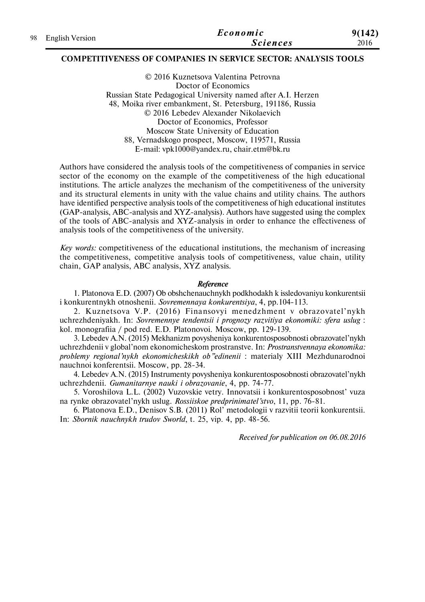|  |                    | Economic        | 9(142) |
|--|--------------------|-----------------|--------|
|  | 98 English Version | <i>Sciences</i> | 2016   |

### **COMPETITIVENESS OF COMPANIES IN SERVICE SECTOR: ANALYSIS TOOLS**

© 2016 Kuznetsova Valentina Petrovna Doctor of Economics Russian State Pedagogical University named after A.I. Herzen 48, Moika river embankment, St. Petersburg, 191186, Russia © 2016 Lebedev Alexander Nikolaevich Doctor of Economics, Professor Moscow State University of Education 88, Vernadskogo prospect, Moscow, 119571, Russia E-mail: vpk1000@yandex.ru, chair.etm@bk.ru

Authors have considered the analysis tools of the competitiveness of companies in service sector of the economy on the example of the competitiveness of the high educational institutions. The article analyzes the mechanism of the competitiveness of the university and its structural elements in unity with the value chains and utility chains. The authors have identified perspective analysis tools of the competitiveness of high educational institutes (GAP-analysis, ABC-analysis and XYZ-analysis). Authors have suggested using the complex of the tools of ABC-analysis and XYZ-analysis in order to enhance the effectiveness of analysis tools of the competitiveness of the university.

*Key words:* competitiveness of the educational institutions, the mechanism of increasing the competitiveness, competitive analysis tools of competitiveness, value chain, utility chain, GAP analysis, ABC analysis, XYZ analysis.

#### *Reference*

1. Platonova E.D. (2007) Ob obshchenauchnykh podkhodakh k issledovaniyu konkurentsii i konkurentnykh otnoshenii. *Sovremennaya konkurentsiya*, 4, pp.104-113.

2. Kuznetsova V.P. (2016) Finansovyi menedzhment v obrazovatel'nykh uchrezhdeniyakh. In: *Sovremennye tendentsii i prognozy razvitiya ekonomiki: sfera uslug* : kol. monografiia / pod red. E.D. Platonovoi. Moscow, pp. 129-139.

3. Lebedev A.N. (2015) Mekhanizm povysheniya konkurentosposobnosti obrazovatel'nykh uchrezhdenii v global'nom ekonomicheskom prostranstve. In: *Prostranstvennaya ekonomika: problemy regional'nykh ekonomicheskikh ob"edinenii* : materialy XIII Mezhdunarodnoi nauchnoi konferentsii. Moscow, рр. 28-34.

4. Lebedev A.N. (2015) Instrumenty povysheniya konkurentosposobnosti obrazovatel'nykh uchrezhdenii. *Gumanitarnye nauki i obrazovanie*, 4, pp. 74-77.

5. Voroshilova L.L. (2002) Vuzovskie vetry. Innovatsii i konkurentosposobnost' vuza na rynke obrazovatel'nykh uslug. *Rossiiskoe predprinimatel'stvo*, 11, pp. 76-81.

6. Platonova E.D., Denisov S.B. (2011) Rol' metodologii v razvitii teorii konkurentsii. In: *Sbornik nauchnykh trudov Sworld*, t. 25, vip. 4, pp. 48-56.

*Received for publication on 06.08.2016*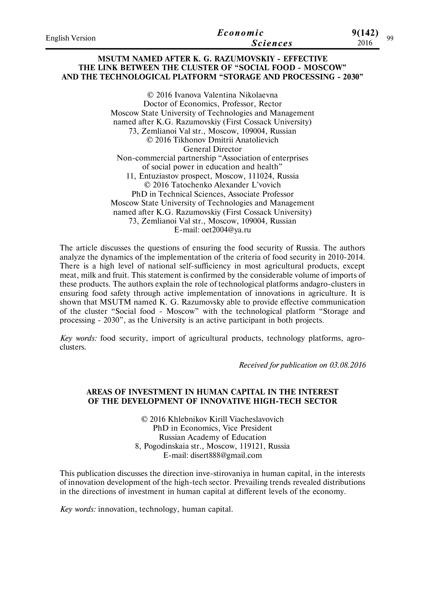| <b>English Version</b> | Economic        | 9(142)<br>٥o |  |
|------------------------|-----------------|--------------|--|
|                        | <b>Sciences</b> | 2016         |  |

### **MSUTM NAMED AFTER K. G. RAZUMOVSKIY - EFFECTIVE THE LINK BETWEEN THE CLUSTER OF "SOCIAL FOOD - MOSCOW" AND THE TECHNOLOGICAL PLATFORM "STORAGE AND PROCESSING - 2030"**

© 2016 Ivanova Valentina Nikolaevna Doctor of Economics, Professor, Rector Moscow State University of Technologies and Management named after K.G. Razumovskiy (First Cossack University) 73, Zemlianoi Val str., Moscow, 109004, Russian © 2016 Tikhonov Dmitrii Anatolievich General Director Non-commercial partnership "Association of enterprises of social power in education and health" 11, Entuziastov prospect, Moscow, 111024, Russia © 2016 Tatochenko Alexander L'vovich PhD in Technical Sciences, Associate Professor Moscow State University of Technologies and Management named after K.G. Razumovskiy (First Cossack University) 73, Zemlianoi Val str., Moscow, 109004, Russian E-mail: oet2004@ya.ru

The article discusses the questions of ensuring the food security of Russia. The authors analyze the dynamics of the implementation of the criteria of food security in 2010-2014. There is a high level of national self-sufficiency in most agricultural products, except meat, milk and fruit. This statement is confirmed by the considerable volume of imports of these products. The authors explain the role of technological platforms andagro-clusters in ensuring food safety through active implementation of innovations in agriculture. It is shown that MSUTM named K. G. Razumovsky able to provide effective communication of the cluster "Social food - Moscow" with the technological platform "Storage and processing - 2030", as the University is an active participant in both projects.

*Key words:* food security, import of agricultural products, technology platforms, agroclusters.

*Received for publication on 03.08.2016*

### **AREAS OF INVESTMENT IN HUMAN CAPITAL IN THE INTEREST OF THE DEVELOPMENT OF INNOVATIVE HIGH-TECH SECTOR**

© 2016 Khlebnikov Kirill Viacheslavovich PhD in Economics, Vice President Russian Academy of Education 8, Pogodinskaia str., Moscow, 119121, Russia E-mail: disert888@gmail.com

This publication discusses the direction inve-stirovaniya in human capital, in the interests of innovation development of the high-tech sector. Prevailing trends revealed distributions in the directions of investment in human capital at different levels of the economy.

*Key words:* innovation, technology, human capital.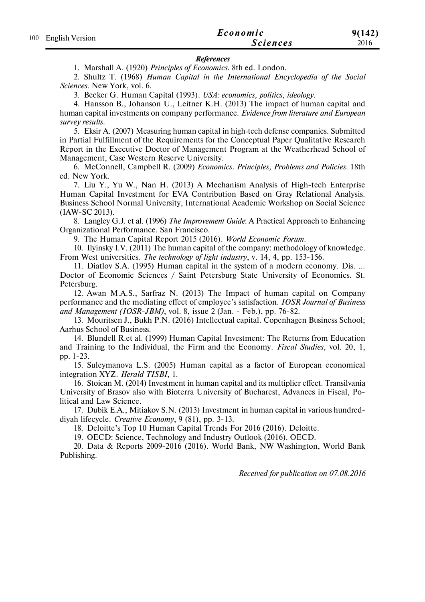| 100 English Version | Economic        | 9(142) |
|---------------------|-----------------|--------|
|                     | <b>Sciences</b> | 2016   |

#### *References*

1. Marshall A. (1920) *Principles of Economics*. 8th ed. London.

2. Shultz T. (1968) *Human Capital in the International Encyclopedia of the Social Sciences*. New York, vol. 6.

3. Becker G. Human Capital (1993). *USA: economics, politics, ideology*.

4. Hansson B., Johanson U., Leitner K.H. (2013) The impact of human capital and human capital investments on company performance. *Evidence from literature and European survey results*.

5. Eksir A. (2007) Measuring human capital in high-tech defense companies. Submitted in Partial Fulfillment of the Requirements for the Conceptual Paper Qualitative Research Report in the Executive Doctor of Management Program at the Weatherhead School of Management, Case Western Reserve University.

6. McConnell, Campbell R. (2009) *Economics. Principles, Problems and Policies*. 18th ed. New York.

7. Liu Y., Yu W., Nan H. (2013) A Mechanism Analysis of High-tech Enterprise Human Capital Investment for EVA Contribution Based on Gray Relational Analysis. Business School Normal University, International Academic Workshop on Social Science (IAW-SC 2013).

8. Langley G.J. et al. (1996) *The Improvement Guide*: A Practical Approach to Enhancing Organizational Performance. San Francisco.

9. The Human Capital Report 2015 (2016). *World Economic Forum*.

10. Ilyinsky I.V. (2011) The human capital of the company: methodology of knowledge. From West universities. *The technology of light industry*, v. 14, 4, pp. 153-156.

11. Diatlov S.A. (1995) Human capital in the system of a modern economy. Dis. ... Doctor of Economic Sciences / Saint Petersburg State University of Economics. St. Petersburg.

12. Awan M.A.S., Sarfraz N. (2013) The Impact of human capital on Company performance and the mediating effect of employee's satisfaction. *IOSR Journal of Business and Management (IOSR-JBM)*, vol. 8, issue 2 (Jan. - Feb.), pp. 76-82.

13. Mouritsen J., Bukh P.N. (2016) Intellectual capital. Copenhagen Business School; Aarhus School of Business.

14. Blundell R.et al. (1999) Human Capital Investment: The Returns from Education and Training to the Individual, the Firm and the Economy. *Fiscal Studies*, vol. 20, 1, pp. 1-23.

15. Suleymanova L.S. (2005) Human capital as a factor of European economical integration XYZ. *Herald TISBI*, 1.

16. Stoican M. (2014) Investment in human capital and its multiplier effect. Transilvania University of Brasov also with Bioterra University of Bucharest, Advances in Fiscal, Political and Law Science.

17. Dubik E.A., Mitiakov S.N. (2013) Investment in human capital in various hundreddiyah lifecycle. *Creative Economy*, 9 (81), pp. 3-13.

18. Deloitte's Top 10 Human Capital Trends For 2016 (2016). Deloitte.

19. OECD: Science, Technology and Industry Outlook (2016). OECD.

20. Data & Reports 2009-2016 (2016). World Bank, NW Washington, World Bank Publishing.

*Received for publication on 07.08.2016*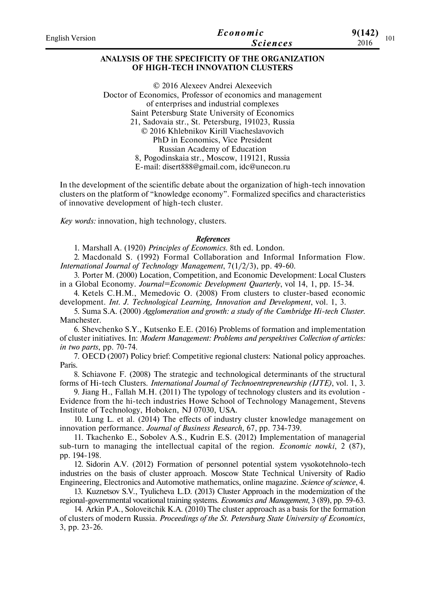| English Version | Economic        | 9(142)      |
|-----------------|-----------------|-------------|
|                 | <b>Sciences</b> | 101<br>2016 |
|                 |                 |             |

### **ANALYSIS OF THE SPECIFICITY OF THE ORGANIZATION OF HIGH-TECH INNOVATION CLUSTERS**

© 2016 Alexeev Andrei Alexeevich Doctor of Economics, Professor of economics and management of enterprises and industrial complexes Saint Petersburg State University of Economics 21, Sadovaia str., St. Petersburg, 191023, Russia © 2016 Khlebnikov Kirill Viacheslavovich PhD in Economics, Vice President Russian Academy of Education 8, Pogodinskaia str., Moscow, 119121, Russia E-mail: disert888@gmail.com, idc@unecon.ru

In the development of the scientific debate about the organization of high-tech innovation clusters on the platform of "knowledge economy". Formalized specifics and characteristics of innovative development of high-tech cluster.

*Key words:* innovation, high technology, clusters.

#### *References*

1. Marshall A. (1920) *Principles of Economics*. 8th ed. London.

2. Macdonald S. (1992) Formal Collaboration and Informal Information Flow. *International Journal of Technology Management*, 7(1/2/3), рр. 49-60.

3. Porter M. (2000) Location, Competition, and Economic Development: Local Clusters in a Global Economy. *Journal=Economic Development Quarterly*, vol 14, 1, pp. 15-34.

4. Ketels C.H.M., Memedovic O. (2008) From clusters to cluster-based economic development. *Int. J. Technological Learning, Innovation and Development*, vol. 1, 3.

5. Suma S.A. (2000) *Agglomeration and growth: a study of the Cambridge Hi-tech Cluster.* Manchester.

6. Shevchenko S.Y., Kutsenko E.E. (2016) Problems of formation and implementation of cluster initiatives. In: *Modern Management: Problems and perspektives Collection of articles: in two parts*, pp. 70-74.

7. OECD (2007) Policy brief: Competitive regional clusters: National policy approaches. Paris.

8. Schiavone F. (2008) The strategic and technological determinants of the structural forms of Hi-tech Clusters. *International Journal of Technoentrepreneurship (IJTE)*, vol. 1, 3.

9. Jiang H., Fallah M.H. (2011) The typology of technology clusters and its evolution - Evidence from the hi-tech industries Howe School of Technology Management, Stevens Institute of Technology, Hoboken, NJ 07030, USA.

10. Lung L. et al. (2014) The effects of industry cluster knowledge management on innovation performance. *Journal of Business Research*, 67, рр. 734-739.

11. Tkachenko E., Sobolev A.S., Kudrin E.S. (2012) Implementation of managerial sub-turn to managing the intellectual capital of the region. *Economic nowki*, 2 (87), рр. 194-198.

12. Sidorin A.V. (2012) Formation of personnel potential system vysokotehnolo-tech industries on the basis of cluster approach. Moscow State Technical University of Radio Engineering, Electronics and Automotive mathematics, online magazine. *Science of science*, 4.

13. Kuznetsov S.V., Tyulicheva L.D. (2013) Cluster Approach in the modernization of the regional-governmental vocational training systems. *Economics and Management*, 3 (89), рр. 59-63.

14. Arkin P.A., Soloveitchik K.A. (2010) The cluster approach as a basis for the formation of clusters of modern Russia. *Proceedings of the St. Petersburg State University of Economics*, 3, рр. 23-26.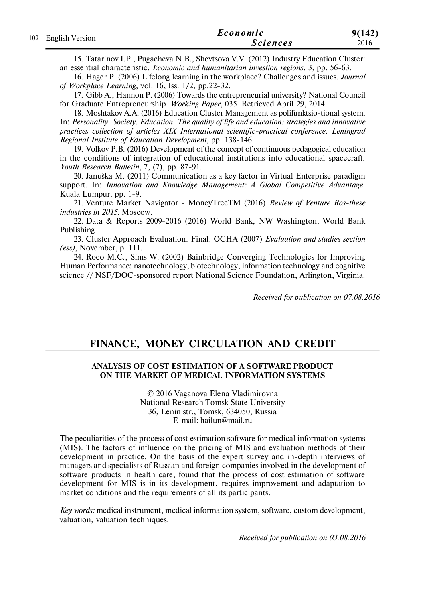|  | Economic            | 9(142)          |      |
|--|---------------------|-----------------|------|
|  | 102 English Version | <i>Sciences</i> | 2016 |

15. Tatarinov I.P., Pugacheva N.B., Shevtsova V.V. (2012) Industry Education Cluster: an essential characteristic. *Economic and humanitarian investion regions*, 3, рр. 56-63.

16. Hager P. (2006) Lifelong learning in the workplace? Challenges and issues. *Journal of Workplace Learning*, vol. 16, Iss. 1/2, pp.22-32.

17. Gibb A., Hannon P. (2006) Towards the entrepreneurial university? National Council for Graduate Entrepreneurship. *Working Paper*, 035. Retrieved April 29, 2014.

18. Moshtakov A.A. (2016) Education Cluster Management as polifunktsio-tional system. In: *Personality. Society. Education. The quality of life and education: strategies and innovative practices collection of articles XIX International scientific-practical conference. Leningrad Regional Institute of Education Development*, pp. 138-146.

19. Volkov P.B. (2016) Development of the concept of continuous pedagogical education in the conditions of integration of educational institutions into educational spacecraft. *Youth Research Bulletin*, 7, (7), рр. 87-91.

20. Januška M. (2011) Communication as a key factor in Virtual Enterprise paradigm support. In: *Innovation and Knowledge Management: A Global Competitive Advantage.* Kuala Lumpur, рр. 1-9.

21. Venture Market Navigator - MoneyTreeTM (2016) *Review of Venture Ros-these industries in 2015*. Moscow.

22. Data & Reports 2009-2016 (2016) World Bank, NW Washington, World Bank Publishing.

23. Cluster Approach Evaluation. Final. OCHA (2007) *Evaluation and studies section (ess)*, November, p. 111.

24. Roco M.C., Sims W. (2002) Bainbridge Converging Technologies for Improving Human Performance: nanotechnology, biotechnology, information technology and cognitive science // NSF/DOC-sponsored report National Science Foundation, Arlington, Virginia.

*Received for publication on 07.08.2016*

## **FINANCE, MONEY CIRCULATION AND CREDIT**

### **ANALYSIS OF COST ESTIMATION OF A SOFTWARE PRODUCT ON THE MARKET OF MEDICAL INFORMATION SYSTEMS**

© 2016 Vaganova Elena Vladimirovna National Research Tomsk State University 36, Lenin str., Tomsk, 634050, Russia E-mail: hailun@mail.ru

The peculiarities of the process of cost estimation software for medical information systems (MIS). The factors of influence on the pricing of MIS and evaluation methods of their development in practice. On the basis of the expert survey and in-depth interviews of managers and specialists of Russian and foreign companies involved in the development of software products in health care, found that the process of cost estimation of software development for MIS is in its development, requires improvement and adaptation to market conditions and the requirements of all its participants.

*Key words:* medical instrument, medical information system, software, custom development, valuation, valuation techniques.

*Received for publication on 03.08.2016*